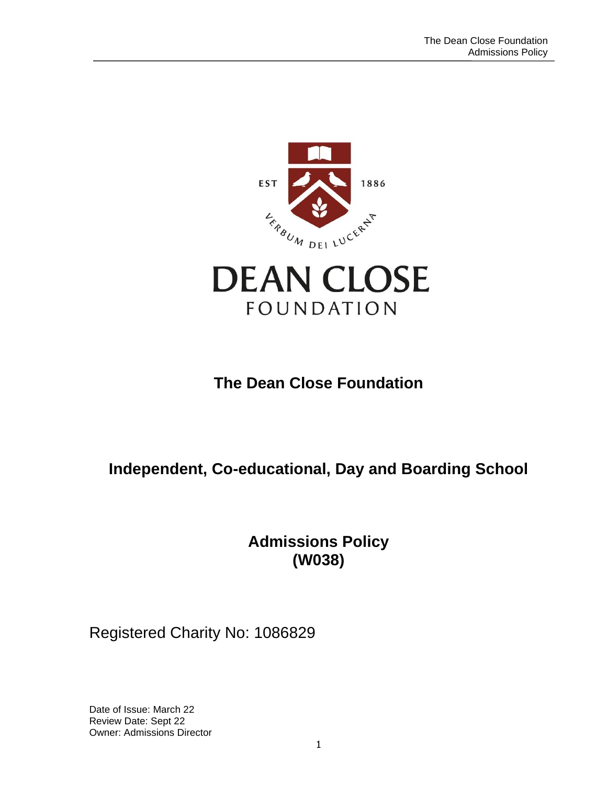



# **The Dean Close Foundation**

# **Independent, Co-educational, Day and Boarding School**

**Admissions Policy (W038)**

## Registered Charity No: 1086829

Date of Issue: March 22 Review Date: Sept 22 Owner: Admissions Director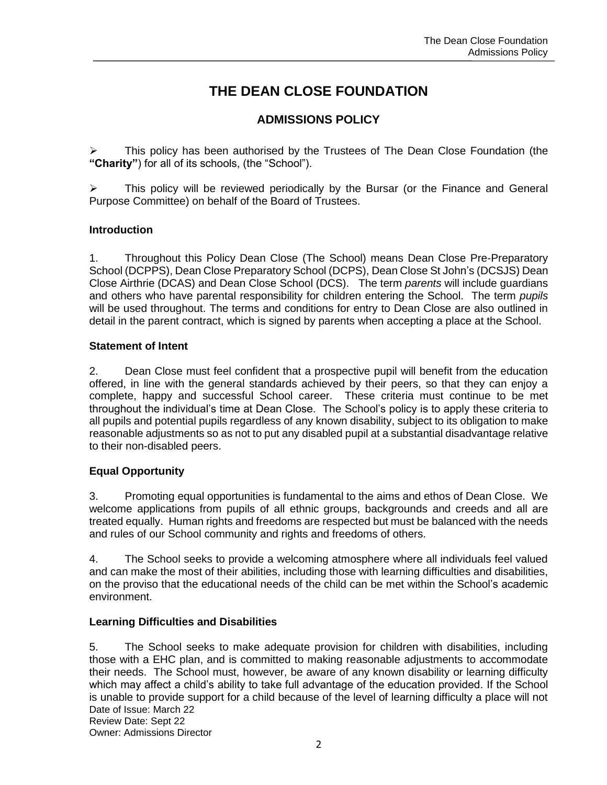## **THE DEAN CLOSE FOUNDATION**

## **ADMISSIONS POLICY**

This policy has been authorised by the Trustees of The Dean Close Foundation (the **"Charity"**) for all of its schools, (the "School").

This policy will be reviewed periodically by the Bursar (or the Finance and General Purpose Committee) on behalf of the Board of Trustees.

#### **Introduction**

1. Throughout this Policy Dean Close (The School) means Dean Close Pre-Preparatory School (DCPPS), Dean Close Preparatory School (DCPS), Dean Close St John's (DCSJS) Dean Close Airthrie (DCAS) and Dean Close School (DCS). The term *parents* will include guardians and others who have parental responsibility for children entering the School. The term *pupils* will be used throughout. The terms and conditions for entry to Dean Close are also outlined in detail in the parent contract, which is signed by parents when accepting a place at the School.

#### **Statement of Intent**

2. Dean Close must feel confident that a prospective pupil will benefit from the education offered, in line with the general standards achieved by their peers, so that they can enjoy a complete, happy and successful School career. These criteria must continue to be met throughout the individual's time at Dean Close. The School's policy is to apply these criteria to all pupils and potential pupils regardless of any known disability, subject to its obligation to make reasonable adjustments so as not to put any disabled pupil at a substantial disadvantage relative to their non-disabled peers.

## **Equal Opportunity**

3. Promoting equal opportunities is fundamental to the aims and ethos of Dean Close. We welcome applications from pupils of all ethnic groups, backgrounds and creeds and all are treated equally. Human rights and freedoms are respected but must be balanced with the needs and rules of our School community and rights and freedoms of others.

4. The School seeks to provide a welcoming atmosphere where all individuals feel valued and can make the most of their abilities, including those with learning difficulties and disabilities, on the proviso that the educational needs of the child can be met within the School's academic environment.

## **Learning Difficulties and Disabilities**

Date of Issue: March 22 Review Date: Sept 22 5. The School seeks to make adequate provision for children with disabilities, including those with a EHC plan, and is committed to making reasonable adjustments to accommodate their needs. The School must, however, be aware of any known disability or learning difficulty which may affect a child's ability to take full advantage of the education provided. If the School is unable to provide support for a child because of the level of learning difficulty a place will not

Owner: Admissions Director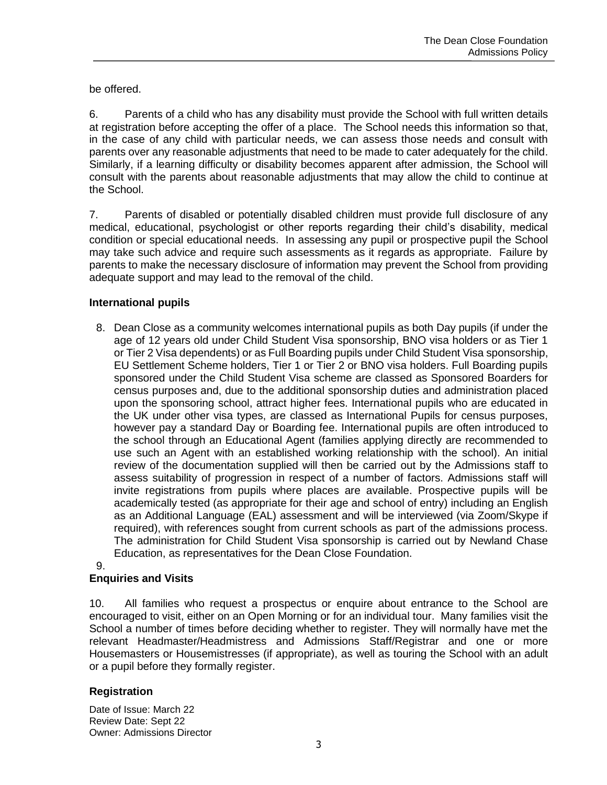be offered.

6. Parents of a child who has any disability must provide the School with full written details at registration before accepting the offer of a place. The School needs this information so that, in the case of any child with particular needs, we can assess those needs and consult with parents over any reasonable adjustments that need to be made to cater adequately for the child. Similarly, if a learning difficulty or disability becomes apparent after admission, the School will consult with the parents about reasonable adjustments that may allow the child to continue at the School.

7. Parents of disabled or potentially disabled children must provide full disclosure of any medical, educational, psychologist or other reports regarding their child's disability, medical condition or special educational needs. In assessing any pupil or prospective pupil the School may take such advice and require such assessments as it regards as appropriate. Failure by parents to make the necessary disclosure of information may prevent the School from providing adequate support and may lead to the removal of the child.

## **International pupils**

8. Dean Close as a community welcomes international pupils as both Day pupils (if under the age of 12 years old under Child Student Visa sponsorship, BNO visa holders or as Tier 1 or Tier 2 Visa dependents) or as Full Boarding pupils under Child Student Visa sponsorship, EU Settlement Scheme holders, Tier 1 or Tier 2 or BNO visa holders. Full Boarding pupils sponsored under the Child Student Visa scheme are classed as Sponsored Boarders for census purposes and, due to the additional sponsorship duties and administration placed upon the sponsoring school, attract higher fees. International pupils who are educated in the UK under other visa types, are classed as International Pupils for census purposes, however pay a standard Day or Boarding fee. International pupils are often introduced to the school through an Educational Agent (families applying directly are recommended to use such an Agent with an established working relationship with the school). An initial review of the documentation supplied will then be carried out by the Admissions staff to assess suitability of progression in respect of a number of factors. Admissions staff will invite registrations from pupils where places are available. Prospective pupils will be academically tested (as appropriate for their age and school of entry) including an English as an Additional Language (EAL) assessment and will be interviewed (via Zoom/Skype if required), with references sought from current schools as part of the admissions process. The administration for Child Student Visa sponsorship is carried out by Newland Chase Education, as representatives for the Dean Close Foundation.

#### 9.

## **Enquiries and Visits**

10. All families who request a prospectus or enquire about entrance to the School are encouraged to visit, either on an Open Morning or for an individual tour. Many families visit the School a number of times before deciding whether to register. They will normally have met the relevant Headmaster/Headmistress and Admissions Staff/Registrar and one or more Housemasters or Housemistresses (if appropriate), as well as touring the School with an adult or a pupil before they formally register.

## **Registration**

Date of Issue: March 22 Review Date: Sept 22 Owner: Admissions Director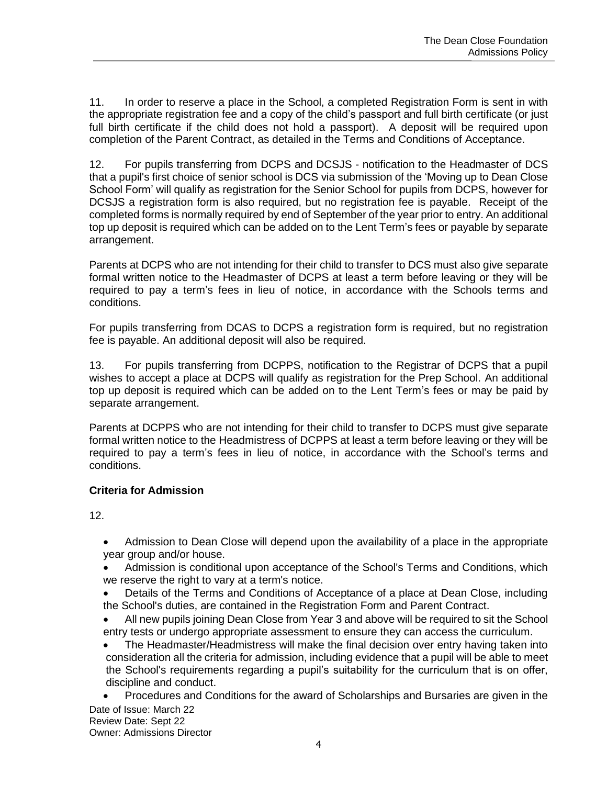11. In order to reserve a place in the School, a completed Registration Form is sent in with the appropriate registration fee and a copy of the child's passport and full birth certificate (or just full birth certificate if the child does not hold a passport). A deposit will be required upon completion of the Parent Contract, as detailed in the Terms and Conditions of Acceptance.

12. For pupils transferring from DCPS and DCSJS - notification to the Headmaster of DCS that a pupil's first choice of senior school is DCS via submission of the 'Moving up to Dean Close School Form' will qualify as registration for the Senior School for pupils from DCPS, however for DCSJS a registration form is also required, but no registration fee is payable. Receipt of the completed forms is normally required by end of September of the year prior to entry. An additional top up deposit is required which can be added on to the Lent Term's fees or payable by separate arrangement.

Parents at DCPS who are not intending for their child to transfer to DCS must also give separate formal written notice to the Headmaster of DCPS at least a term before leaving or they will be required to pay a term's fees in lieu of notice, in accordance with the Schools terms and conditions.

For pupils transferring from DCAS to DCPS a registration form is required, but no registration fee is payable. An additional deposit will also be required.

13. For pupils transferring from DCPPS, notification to the Registrar of DCPS that a pupil wishes to accept a place at DCPS will qualify as registration for the Prep School. An additional top up deposit is required which can be added on to the Lent Term's fees or may be paid by separate arrangement.

Parents at DCPPS who are not intending for their child to transfer to DCPS must give separate formal written notice to the Headmistress of DCPPS at least a term before leaving or they will be required to pay a term's fees in lieu of notice, in accordance with the School's terms and conditions.

## **Criteria for Admission**

12.

• Admission to Dean Close will depend upon the availability of a place in the appropriate year group and/or house.

- Admission is conditional upon acceptance of the School's Terms and Conditions, which we reserve the right to vary at a term's notice.
- Details of the Terms and Conditions of Acceptance of a place at Dean Close, including the School's duties, are contained in the Registration Form and Parent Contract.
- All new pupils joining Dean Close from Year 3 and above will be required to sit the School entry tests or undergo appropriate assessment to ensure they can access the curriculum.
- The Headmaster/Headmistress will make the final decision over entry having taken into consideration all the criteria for admission, including evidence that a pupil will be able to meet the School's requirements regarding a pupil's suitability for the curriculum that is on offer, discipline and conduct.
- Date of Issue: March 22 • Procedures and Conditions for the award of Scholarships and Bursaries are given in the

Review Date: Sept 22 Owner: Admissions Director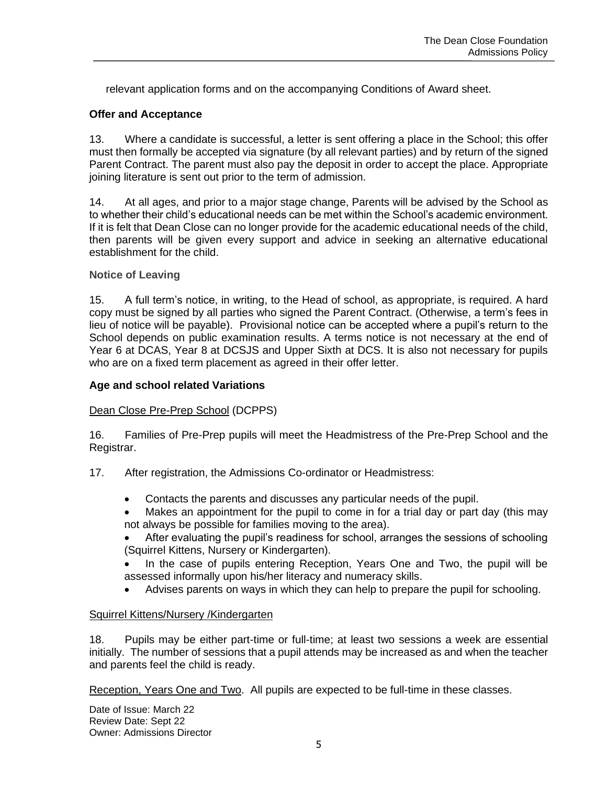relevant application forms and on the accompanying Conditions of Award sheet.

#### **Offer and Acceptance**

13. Where a candidate is successful, a letter is sent offering a place in the School; this offer must then formally be accepted via signature (by all relevant parties) and by return of the signed Parent Contract. The parent must also pay the deposit in order to accept the place. Appropriate joining literature is sent out prior to the term of admission.

14. At all ages, and prior to a major stage change, Parents will be advised by the School as to whether their child's educational needs can be met within the School's academic environment. If it is felt that Dean Close can no longer provide for the academic educational needs of the child, then parents will be given every support and advice in seeking an alternative educational establishment for the child.

#### **Notice of Leaving**

15. A full term's notice, in writing, to the Head of school, as appropriate, is required. A hard copy must be signed by all parties who signed the Parent Contract. (Otherwise, a term's fees in lieu of notice will be payable). Provisional notice can be accepted where a pupil's return to the School depends on public examination results. A terms notice is not necessary at the end of Year 6 at DCAS, Year 8 at DCSJS and Upper Sixth at DCS. It is also not necessary for pupils who are on a fixed term placement as agreed in their offer letter.

#### **Age and school related Variations**

#### Dean Close Pre-Prep School (DCPPS)

16. Families of Pre-Prep pupils will meet the Headmistress of the Pre-Prep School and the Registrar.

- 17. After registration, the Admissions Co-ordinator or Headmistress:
	- Contacts the parents and discusses any particular needs of the pupil.
	- Makes an appointment for the pupil to come in for a trial day or part day (this may not always be possible for families moving to the area).

• After evaluating the pupil's readiness for school, arranges the sessions of schooling (Squirrel Kittens, Nursery or Kindergarten).

- In the case of pupils entering Reception, Years One and Two, the pupil will be assessed informally upon his/her literacy and numeracy skills.
- Advises parents on ways in which they can help to prepare the pupil for schooling.

#### Squirrel Kittens/Nursery /Kindergarten

18. Pupils may be either part-time or full-time; at least two sessions a week are essential initially. The number of sessions that a pupil attends may be increased as and when the teacher and parents feel the child is ready.

Reception, Years One and Two. All pupils are expected to be full-time in these classes.

Date of Issue: March 22 Review Date: Sept 22 Owner: Admissions Director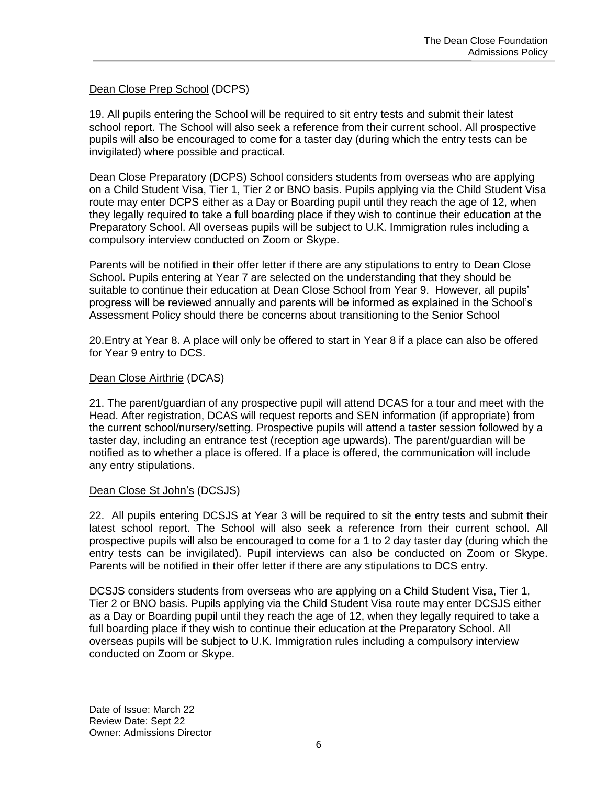#### Dean Close Prep School (DCPS)

19. All pupils entering the School will be required to sit entry tests and submit their latest school report. The School will also seek a reference from their current school. All prospective pupils will also be encouraged to come for a taster day (during which the entry tests can be invigilated) where possible and practical.

Dean Close Preparatory (DCPS) School considers students from overseas who are applying on a Child Student Visa, Tier 1, Tier 2 or BNO basis. Pupils applying via the Child Student Visa route may enter DCPS either as a Day or Boarding pupil until they reach the age of 12, when they legally required to take a full boarding place if they wish to continue their education at the Preparatory School. All overseas pupils will be subject to U.K. Immigration rules including a compulsory interview conducted on Zoom or Skype.

Parents will be notified in their offer letter if there are any stipulations to entry to Dean Close School. Pupils entering at Year 7 are selected on the understanding that they should be suitable to continue their education at Dean Close School from Year 9. However, all pupils' progress will be reviewed annually and parents will be informed as explained in the School's Assessment Policy should there be concerns about transitioning to the Senior School

20.Entry at Year 8. A place will only be offered to start in Year 8 if a place can also be offered for Year 9 entry to DCS.

#### Dean Close Airthrie (DCAS)

21. The parent/guardian of any prospective pupil will attend DCAS for a tour and meet with the Head. After registration, DCAS will request reports and SEN information (if appropriate) from the current school/nursery/setting. Prospective pupils will attend a taster session followed by a taster day, including an entrance test (reception age upwards). The parent/guardian will be notified as to whether a place is offered. If a place is offered, the communication will include any entry stipulations.

#### Dean Close St John's (DCSJS)

22. All pupils entering DCSJS at Year 3 will be required to sit the entry tests and submit their latest school report. The School will also seek a reference from their current school. All prospective pupils will also be encouraged to come for a 1 to 2 day taster day (during which the entry tests can be invigilated). Pupil interviews can also be conducted on Zoom or Skype. Parents will be notified in their offer letter if there are any stipulations to DCS entry.

DCSJS considers students from overseas who are applying on a Child Student Visa, Tier 1, Tier 2 or BNO basis. Pupils applying via the Child Student Visa route may enter DCSJS either as a Day or Boarding pupil until they reach the age of 12, when they legally required to take a full boarding place if they wish to continue their education at the Preparatory School. All overseas pupils will be subject to U.K. Immigration rules including a compulsory interview conducted on Zoom or Skype.